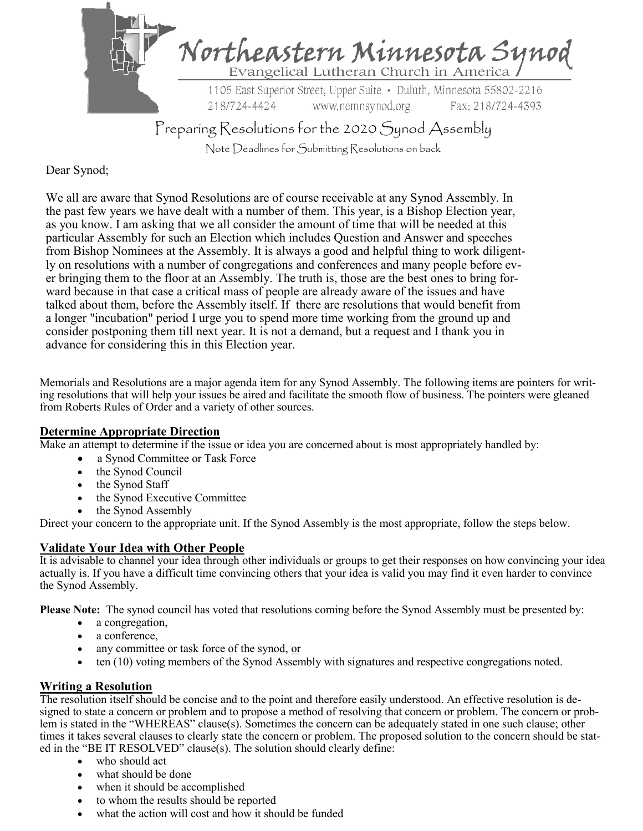

Note Deadlines for Submitting Resolutions on back

Dear Synod;

We all are aware that Synod Resolutions are of course receivable at any Synod Assembly. In the past few years we have dealt with a number of them. This year, is a Bishop Election year, as you know. I am asking that we all consider the amount of time that will be needed at this particular Assembly for such an Election which includes Question and Answer and speeches from Bishop Nominees at the Assembly. It is always a good and helpful thing to work diligently on resolutions with a number of congregations and conferences and many people before ever bringing them to the floor at an Assembly. The truth is, those are the best ones to bring forward because in that case a critical mass of people are already aware of the issues and have talked about them, before the Assembly itself. If there are resolutions that would benefit from a longer "incubation" period I urge you to spend more time working from the ground up and consider postponing them till next year. It is not a demand, but a request and I thank you in advance for considering this in this Election year.

Memorials and Resolutions are a major agenda item for any Synod Assembly. The following items are pointers for writing resolutions that will help your issues be aired and facilitate the smooth flow of business. The pointers were gleaned from Roberts Rules of Order and a variety of other sources.

### **Determine Appropriate Direction**

Make an attempt to determine if the issue or idea you are concerned about is most appropriately handled by:

- a Synod Committee or Task Force
- the Synod Council
- the Synod Staff
- the Synod Executive Committee
- the Synod Assembly

Direct your concern to the appropriate unit. If the Synod Assembly is the most appropriate, follow the steps below.

# **Validate Your Idea with Other People**

It is advisable to channel your idea through other individuals or groups to get their responses on how convincing your idea actually is. If you have a difficult time convincing others that your idea is valid you may find it even harder to convince the Synod Assembly.

**Please Note:** The synod council has voted that resolutions coming before the Synod Assembly must be presented by:

- a congregation,
- a conference,
- any committee or task force of the synod, or
- ten (10) voting members of the Synod Assembly with signatures and respective congregations noted.

# **Writing a Resolution**

The resolution itself should be concise and to the point and therefore easily understood. An effective resolution is designed to state a concern or problem and to propose a method of resolving that concern or problem. The concern or problem is stated in the "WHEREAS" clause(s). Sometimes the concern can be adequately stated in one such clause; other times it takes several clauses to clearly state the concern or problem. The proposed solution to the concern should be stated in the "BE IT RESOLVED" clause(s). The solution should clearly define:

- who should act
- what should be done
- when it should be accomplished
- to whom the results should be reported
- what the action will cost and how it should be funded